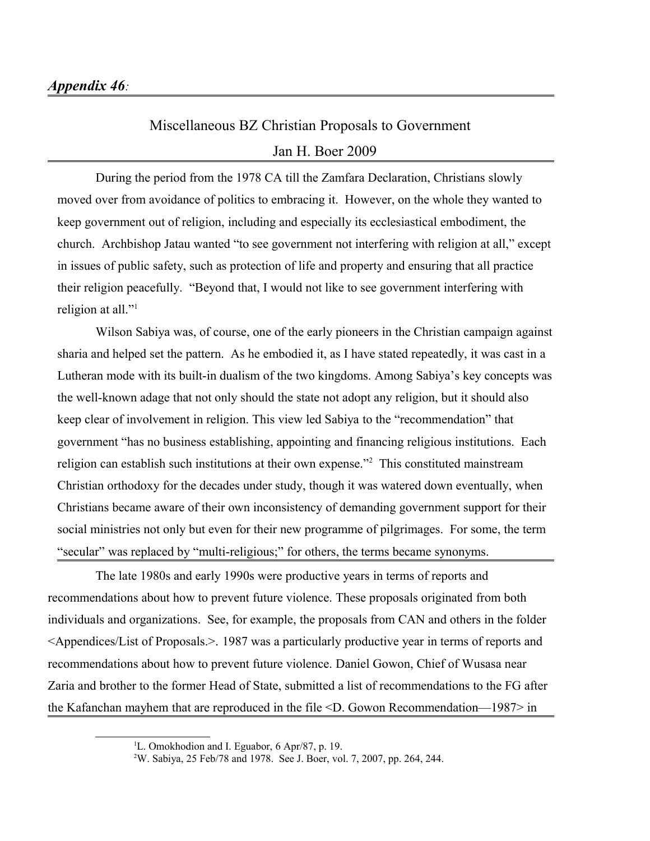## Miscellaneous BZ Christian Proposals to Government Jan H. Boer 2009

During the period from the 1978 CA till the Zamfara Declaration, Christians slowly moved over from avoidance of politics to embracing it. However, on the whole they wanted to keep government out of religion, including and especially its ecclesiastical embodiment, the church. Archbishop Jatau wanted "to see government not interfering with religion at all," except in issues of public safety, such as protection of life and property and ensuring that all practice their religion peacefully. "Beyond that, I would not like to see government interfering with religion at all."<sup>[1](#page-0-0)</sup>

Wilson Sabiya was, of course, one of the early pioneers in the Christian campaign against sharia and helped set the pattern. As he embodied it, as I have stated repeatedly, it was cast in a Lutheran mode with its built-in dualism of the two kingdoms. Among Sabiya's key concepts was the well-known adage that not only should the state not adopt any religion, but it should also keep clear of involvement in religion. This view led Sabiya to the "recommendation" that government "has no business establishing, appointing and financing religious institutions. Each religion can establish such institutions at their own expense."<sup>[2](#page-0-1)</sup> This constituted mainstream Christian orthodoxy for the decades under study, though it was watered down eventually, when Christians became aware of their own inconsistency of demanding government support for their social ministries not only but even for their new programme of pilgrimages. For some, the term "secular" was replaced by "multi-religious;" for others, the terms became synonyms.

The late 1980s and early 1990s were productive years in terms of reports and recommendations about how to prevent future violence. These proposals originated from both individuals and organizations. See, for example, the proposals from CAN and others in the folder <Appendices/List of Proposals.>. 1987 was a particularly productive year in terms of reports and recommendations about how to prevent future violence. Daniel Gowon, Chief of Wusasa near Zaria and brother to the former Head of State, submitted a list of recommendations to the FG after the Kafanchan mayhem that are reproduced in the file <D. Gowon Recommendation—1987> in

<span id="page-0-0"></span><sup>&</sup>lt;sup>1</sup>L. Omokhodion and I. Eguabor, 6 Apr/87, p. 19.

<span id="page-0-1"></span><sup>2</sup>W. Sabiya, 25 Feb/78 and 1978. See J. Boer, vol. 7, 2007, pp. 264, 244.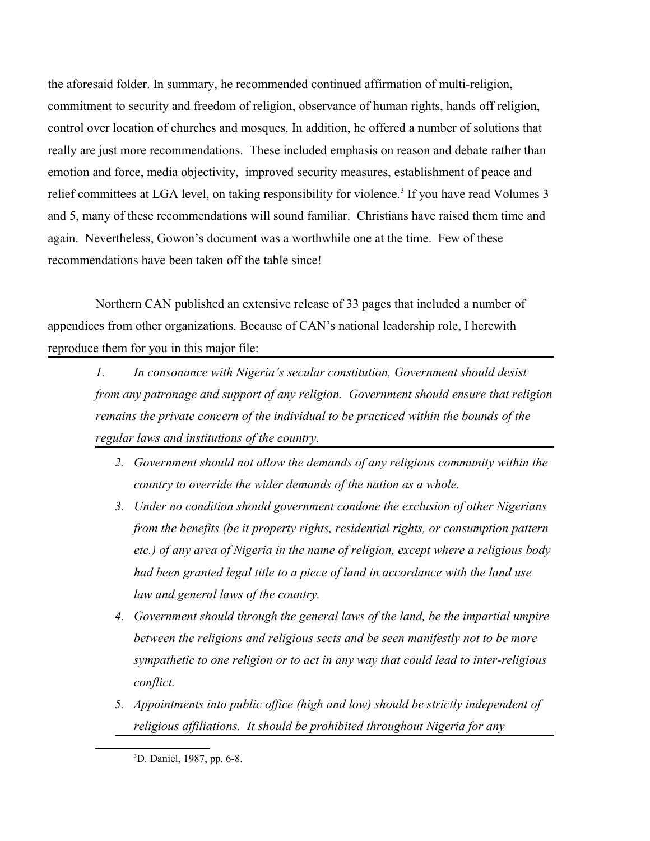the aforesaid folder. In summary, he recommended continued affirmation of multi-religion, commitment to security and freedom of religion, observance of human rights, hands off religion, control over location of churches and mosques. In addition, he offered a number of solutions that really are just more recommendations. These included emphasis on reason and debate rather than emotion and force, media objectivity, improved security measures, establishment of peace and relief committees at LGA level, on taking responsibility for violence.<sup>[3](#page-1-0)</sup> If you have read Volumes 3 and 5, many of these recommendations will sound familiar. Christians have raised them time and again. Nevertheless, Gowon's document was a worthwhile one at the time. Few of these recommendations have been taken off the table since!

Northern CAN published an extensive release of 33 pages that included a number of appendices from other organizations. Because of CAN's national leadership role, I herewith reproduce them for you in this major file:

*1. In consonance with Nigeria's secular constitution, Government should desist from any patronage and support of any religion. Government should ensure that religion remains the private concern of the individual to be practiced within the bounds of the regular laws and institutions of the country.*

- *2. Government should not allow the demands of any religious community within the country to override the wider demands of the nation as a whole.*
- *3. Under no condition should government condone the exclusion of other Nigerians from the benefits (be it property rights, residential rights, or consumption pattern etc.) of any area of Nigeria in the name of religion, except where a religious body had been granted legal title to a piece of land in accordance with the land use law and general laws of the country.*
- *4. Government should through the general laws of the land, be the impartial umpire between the religions and religious sects and be seen manifestly not to be more sympathetic to one religion or to act in any way that could lead to inter-religious conflict.*
- *5. Appointments into public office (high and low) should be strictly independent of religious affiliations. It should be prohibited throughout Nigeria for any*

<span id="page-1-0"></span><sup>3</sup>D. Daniel, 1987, pp. 6-8.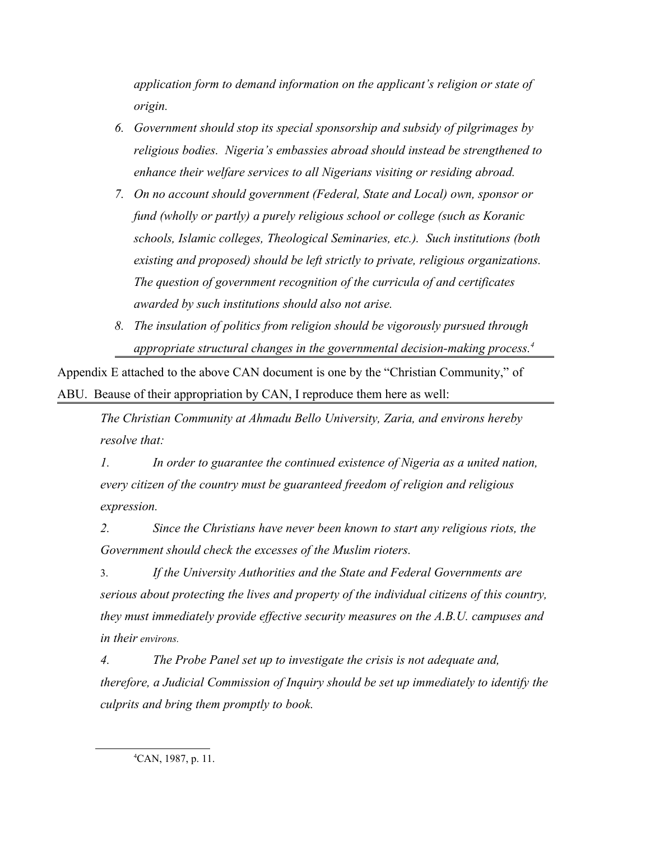*application form to demand information on the applicant's religion or state of origin.*

- *6. Government should stop its special sponsorship and subsidy of pilgrimages by religious bodies. Nigeria's embassies abroad should instead be strengthened to enhance their welfare services to all Nigerians visiting or residing abroad.*
- *7. On no account should government (Federal, State and Local) own, sponsor or fund (wholly or partly) a purely religious school or college (such as Koranic schools, Islamic colleges, Theological Seminaries, etc.). Such institutions (both existing and proposed) should be left strictly to private, religious organizations. The question of government recognition of the curricula of and certificates awarded by such institutions should also not arise.*
- *8. The insulation of politics from religion should be vigorously pursued through appropriate structural changes in the governmental decision-making process.[4](#page-2-0)*

Appendix E attached to the above CAN document is one by the "Christian Community," of ABU. Beause of their appropriation by CAN, I reproduce them here as well:

*The Christian Community at Ahmadu Bello University, Zaria, and environs hereby resolve that:*

*1. In order to guarantee the continued existence of Nigeria as a united nation, every citizen of the country must be guaranteed freedom of religion and religious expression.*

*2. Since the Christians have never been known to start any religious riots, the Government should check the excesses of the Muslim rioters.*

3. *If the University Authorities and the State and Federal Governments are serious about protecting the lives and property of the individual citizens of this country, they must immediately provide effective security measures on the A.B.U. campuses and in their environs.* 

*4. The Probe Panel set up to investigate the crisis is not adequate and, therefore, a Judicial Commission of Inquiry should be set up immediately to identify the culprits and bring them promptly to book.*

<span id="page-2-0"></span><sup>4</sup>CAN, 1987, p. 11.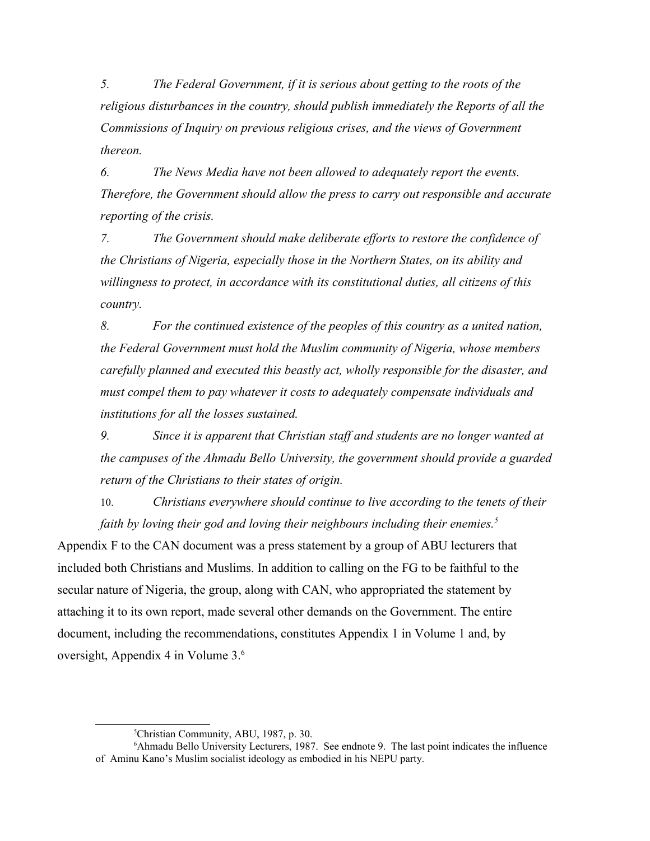*5. The Federal Government, if it is serious about getting to the roots of the religious disturbances in the country, should publish immediately the Reports of all the Commissions of Inquiry on previous religious crises, and the views of Government thereon.*

*6. The News Media have not been allowed to adequately report the events. Therefore, the Government should allow the press to carry out responsible and accurate reporting of the crisis.*

*7. The Government should make deliberate efforts to restore the confidence of the Christians of Nigeria, especially those in the Northern States, on its ability and willingness to protect, in accordance with its constitutional duties, all citizens of this country.*

*8. For the continued existence of the peoples of this country as a united nation, the Federal Government must hold the Muslim community of Nigeria, whose members carefully planned and executed this beastly act, wholly responsible for the disaster, and must compel them to pay whatever it costs to adequately compensate individuals and institutions for all the losses sustained.*

*9. Since it is apparent that Christian staff and students are no longer wanted at the campuses of the Ahmadu Bello University, the government should provide a guarded return of the Christians to their states of origin.*

10. *Christians everywhere should continue to live according to the tenets of their faith by loving their god and loving their neighbours including their enemies.[5](#page-3-0)*

Appendix F to the CAN document was a press statement by a group of ABU lecturers that included both Christians and Muslims. In addition to calling on the FG to be faithful to the secular nature of Nigeria, the group, along with CAN, who appropriated the statement by attaching it to its own report, made several other demands on the Government. The entire document, including the recommendations, constitutes Appendix 1 in Volume 1 and, by oversight, Appendix 4 in Volume 3.[6](#page-3-1)

<span id="page-3-1"></span><span id="page-3-0"></span><sup>5</sup>Christian Community, ABU, 1987, p. 30.

<sup>6</sup>Ahmadu Bello University Lecturers, 1987. See endnote 9. The last point indicates the influence of Aminu Kano's Muslim socialist ideology as embodied in his NEPU party.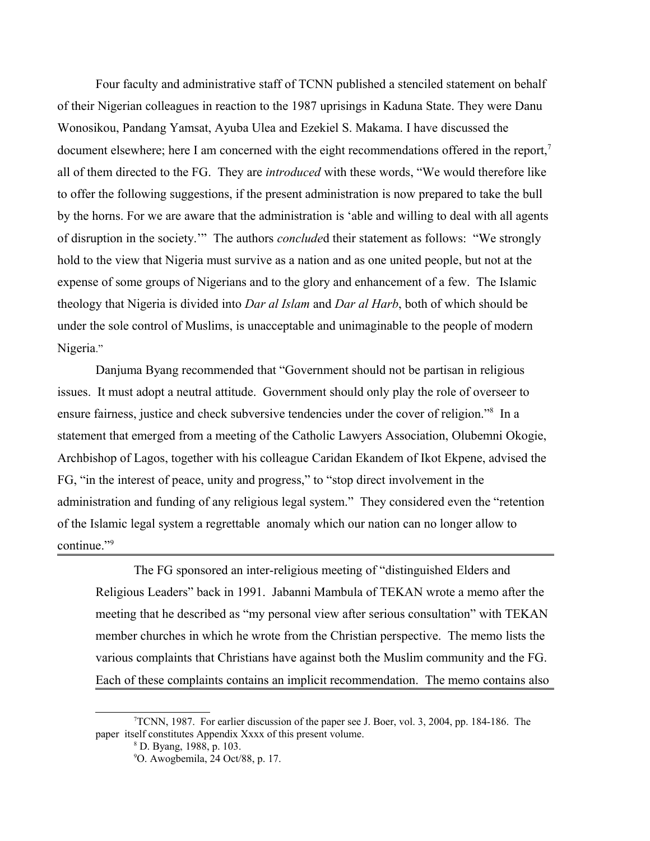Four faculty and administrative staff of TCNN published a stenciled statement on behalf of their Nigerian colleagues in reaction to the 1987 uprisings in Kaduna State. They were Danu Wonosikou, Pandang Yamsat, Ayuba Ulea and Ezekiel S. Makama. I have discussed the document elsewhere; here I am concerned with the eight recommendations offered in the report,<sup>[7](#page-4-0)</sup> all of them directed to the FG. They are *introduced* with these words, "We would therefore like to offer the following suggestions, if the present administration is now prepared to take the bull by the horns. For we are aware that the administration is 'able and willing to deal with all agents of disruption in the society.'" The authors *conclude*d their statement as follows: "We strongly hold to the view that Nigeria must survive as a nation and as one united people, but not at the expense of some groups of Nigerians and to the glory and enhancement of a few. The Islamic theology that Nigeria is divided into *Dar al Islam* and *Dar al Harb*, both of which should be under the sole control of Muslims, is unacceptable and unimaginable to the people of modern Nigeria."

Danjuma Byang recommended that "Government should not be partisan in religious issues. It must adopt a neutral attitude. Government should only play the role of overseer to ensure fairness, justice and check subversive tendencies under the cover of religion."<sup>[8](#page-4-1)</sup> In a statement that emerged from a meeting of the Catholic Lawyers Association, Olubemni Okogie, Archbishop of Lagos, together with his colleague Caridan Ekandem of Ikot Ekpene, advised the FG, "in the interest of peace, unity and progress," to "stop direct involvement in the administration and funding of any religious legal system." They considered even the "retention of the Islamic legal system a regrettable anomaly which our nation can no longer allow to continue."<sup>[9](#page-4-2)</sup>

The FG sponsored an inter-religious meeting of "distinguished Elders and Religious Leaders" back in 1991. Jabanni Mambula of TEKAN wrote a memo after the meeting that he described as "my personal view after serious consultation" with TEKAN member churches in which he wrote from the Christian perspective. The memo lists the various complaints that Christians have against both the Muslim community and the FG. Each of these complaints contains an implicit recommendation. The memo contains also

 $T$ TCNN, 1987. For earlier discussion of the paper see J. Boer, vol. 3, 2004, pp. 184-186. The paper itself constitutes Appendix Xxxx of this present volume.

<span id="page-4-1"></span><span id="page-4-0"></span><sup>8</sup> D. Byang, 1988, p. 103.

<span id="page-4-2"></span><sup>9</sup>O. Awogbemila, 24 Oct/88, p. 17.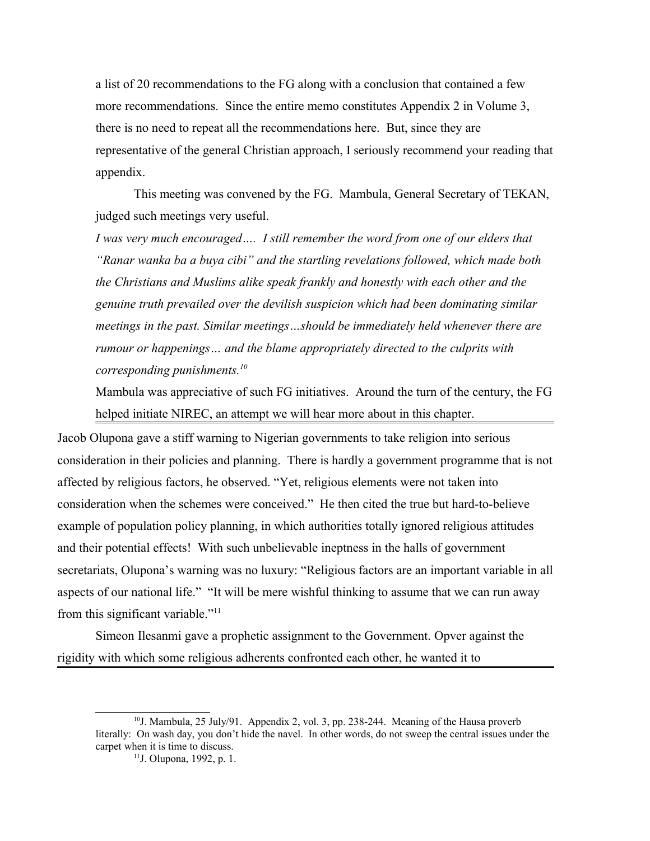a list of 20 recommendations to the FG along with a conclusion that contained a few more recommendations. Since the entire memo constitutes Appendix 2 in Volume 3, there is no need to repeat all the recommendations here. But, since they are representative of the general Christian approach, I seriously recommend your reading that appendix.

This meeting was convened by the FG. Mambula, General Secretary of TEKAN, judged such meetings very useful.

*I* was very much encouraged.... *I still remember the word from one of our elders that "Ranar wanka ba a buya cibi" and the startling revelations followed, which made both the Christians and Muslims alike speak frankly and honestly with each other and the genuine truth prevailed over the devilish suspicion which had been dominating similar meetings in the past. Similar meetings…should be immediately held whenever there are rumour or happenings… and the blame appropriately directed to the culprits with corresponding punishments.[10](#page-5-0)*

Mambula was appreciative of such FG initiatives. Around the turn of the century, the FG helped initiate NIREC, an attempt we will hear more about in this chapter.

Jacob Olupona gave a stiff warning to Nigerian governments to take religion into serious consideration in their policies and planning. There is hardly a government programme that is not affected by religious factors, he observed. "Yet, religious elements were not taken into consideration when the schemes were conceived." He then cited the true but hard-to-believe example of population policy planning, in which authorities totally ignored religious attitudes and their potential effects! With such unbelievable ineptness in the halls of government secretariats, Olupona's warning was no luxury: "Religious factors are an important variable in all aspects of our national life." "It will be mere wishful thinking to assume that we can run away from this significant variable."<sup>[11](#page-5-1)</sup>

Simeon Ilesanmi gave a prophetic assignment to the Government. Opver against the rigidity with which some religious adherents confronted each other, he wanted it to

<sup>&</sup>lt;sup>10</sup>J. Mambula, 25 July/91. Appendix 2, vol. 3, pp. 238-244. Meaning of the Hausa proverb literally: On wash day, you don't hide the navel. In other words, do not sweep the central issues under the carpet when it is time to discuss.

<span id="page-5-1"></span><span id="page-5-0"></span><sup>11</sup>J. Olupona, 1992, p. 1.